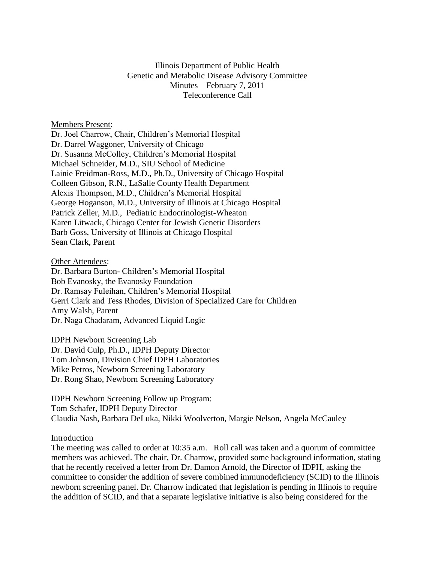# Illinois Department of Public Health Genetic and Metabolic Disease Advisory Committee Minutes—February 7, 2011 Teleconference Call

## Members Present:

Dr. Joel Charrow, Chair, Children's Memorial Hospital Dr. Darrel Waggoner, University of Chicago Dr. Susanna McColley, Children's Memorial Hospital Michael Schneider, M.D., SIU School of Medicine Lainie Freidman-Ross, M.D., Ph.D., University of Chicago Hospital Colleen Gibson, R.N., LaSalle County Health Department Alexis Thompson, M.D., Children's Memorial Hospital George Hoganson, M.D., University of Illinois at Chicago Hospital Patrick Zeller, M.D., Pediatric Endocrinologist-Wheaton Karen Litwack, Chicago Center for Jewish Genetic Disorders Barb Goss, University of Illinois at Chicago Hospital Sean Clark, Parent

### Other Attendees:

Dr. Barbara Burton- Children's Memorial Hospital Bob Evanosky, the Evanosky Foundation Dr. Ramsay Fuleihan, Children's Memorial Hospital Gerri Clark and Tess Rhodes, Division of Specialized Care for Children Amy Walsh, Parent Dr. Naga Chadaram, Advanced Liquid Logic

IDPH Newborn Screening Lab Dr. David Culp, Ph.D., IDPH Deputy Director Tom Johnson, Division Chief IDPH Laboratories Mike Petros, Newborn Screening Laboratory Dr. Rong Shao, Newborn Screening Laboratory

IDPH Newborn Screening Follow up Program: Tom Schafer, IDPH Deputy Director Claudia Nash, Barbara DeLuka, Nikki Woolverton, Margie Nelson, Angela McCauley

### Introduction

The meeting was called to order at 10:35 a.m. Roll call was taken and a quorum of committee members was achieved. The chair, Dr. Charrow, provided some background information, stating that he recently received a letter from Dr. Damon Arnold, the Director of IDPH, asking the committee to consider the addition of severe combined immunodeficiency (SCID) to the Illinois newborn screening panel. Dr. Charrow indicated that legislation is pending in Illinois to require the addition of SCID, and that a separate legislative initiative is also being considered for the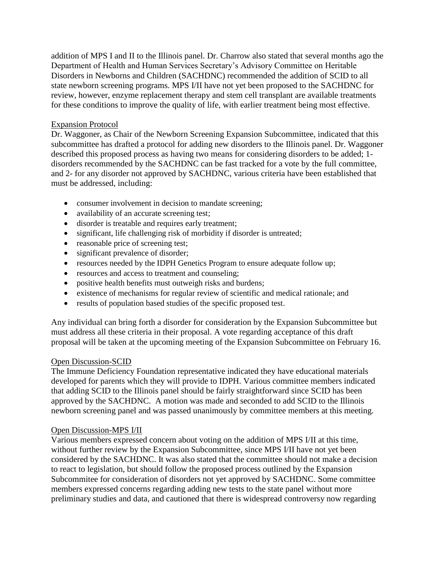addition of MPS I and II to the Illinois panel. Dr. Charrow also stated that several months ago the Department of Health and Human Services Secretary's Advisory Committee on Heritable Disorders in Newborns and Children (SACHDNC) recommended the addition of SCID to all state newborn screening programs. MPS I/II have not yet been proposed to the SACHDNC for review, however, enzyme replacement therapy and stem cell transplant are available treatments for these conditions to improve the quality of life, with earlier treatment being most effective.

# Expansion Protocol

Dr. Waggoner, as Chair of the Newborn Screening Expansion Subcommittee, indicated that this subcommittee has drafted a protocol for adding new disorders to the Illinois panel. Dr. Waggoner described this proposed process as having two means for considering disorders to be added; 1 disorders recommended by the SACHDNC can be fast tracked for a vote by the full committee, and 2- for any disorder not approved by SACHDNC, various criteria have been established that must be addressed, including:

- consumer involvement in decision to mandate screening;
- availability of an accurate screening test;
- disorder is treatable and requires early treatment;
- significant, life challenging risk of morbidity if disorder is untreated;
- reasonable price of screening test;
- significant prevalence of disorder;
- resources needed by the IDPH Genetics Program to ensure adequate follow up;
- resources and access to treatment and counseling;
- positive health benefits must outweigh risks and burdens;
- existence of mechanisms for regular review of scientific and medical rationale; and
- results of population based studies of the specific proposed test.

Any individual can bring forth a disorder for consideration by the Expansion Subcommittee but must address all these criteria in their proposal. A vote regarding acceptance of this draft proposal will be taken at the upcoming meeting of the Expansion Subcommittee on February 16.

## Open Discussion-SCID

The Immune Deficiency Foundation representative indicated they have educational materials developed for parents which they will provide to IDPH. Various committee members indicated that adding SCID to the Illinois panel should be fairly straightforward since SCID has been approved by the SACHDNC. A motion was made and seconded to add SCID to the Illinois newborn screening panel and was passed unanimously by committee members at this meeting.

## Open Discussion-MPS I/II

Various members expressed concern about voting on the addition of MPS I/II at this time, without further review by the Expansion Subcommittee, since MPS I/II have not yet been considered by the SACHDNC. It was also stated that the committee should not make a decision to react to legislation, but should follow the proposed process outlined by the Expansion Subcommitee for consideration of disorders not yet approved by SACHDNC. Some committee members expressed concerns regarding adding new tests to the state panel without more preliminary studies and data, and cautioned that there is widespread controversy now regarding